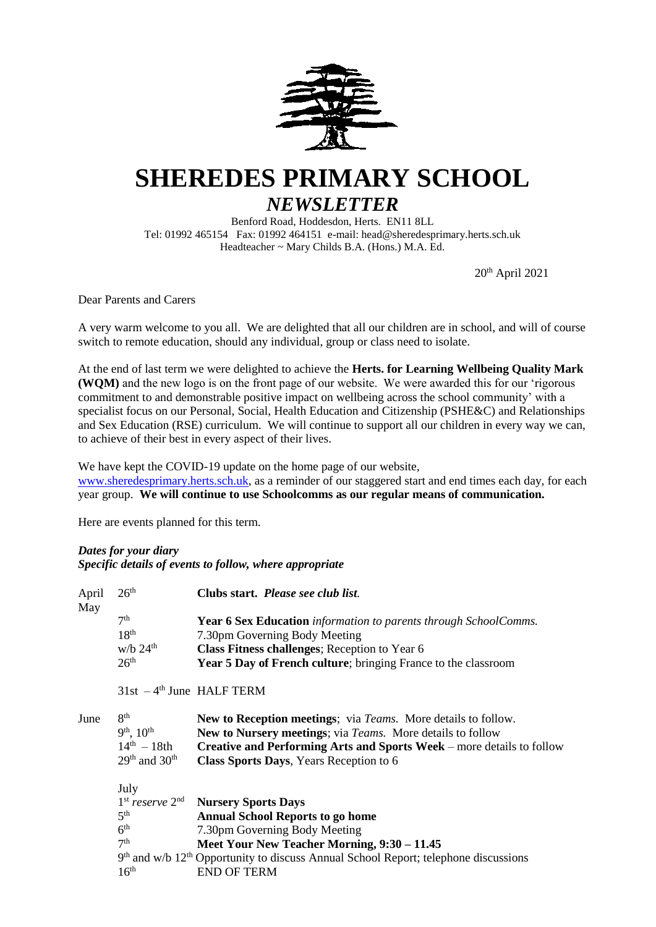

# **SHEREDES PRIMARY SCHOOL**

# *NEWSLETTER* Benford Road, Hoddesdon, Herts. EN11 8LL

Tel: 01992 465154 Fax: 01992 464151 e-mail: head@sheredesprimary.herts.sch.uk Headteacher ~ Mary Childs B.A. (Hons.) M.A. Ed.

20 th April 2021

Dear Parents and Carers

A very warm welcome to you all. We are delighted that all our children are in school, and will of course switch to remote education, should any individual, group or class need to isolate.

At the end of last term we were delighted to achieve the **Herts. for Learning Wellbeing Quality Mark (WQM)** and the new logo is on the front page of our website. We were awarded this for our 'rigorous commitment to and demonstrable positive impact on wellbeing across the school community' with a specialist focus on our Personal, Social, Health Education and Citizenship (PSHE&C) and Relationships and Sex Education (RSE) curriculum. We will continue to support all our children in every way we can, to achieve of their best in every aspect of their lives.

We have kept the COVID-19 update on the home page of our website, [www.sheredesprimary.herts.sch.uk,](http://www.sheredesprimary.herts.sch.uk/) as a reminder of our staggered start and end times each day, for each year group. **We will continue to use Schoolcomms as our regular means of communication.**

Here are events planned for this term.

# *Dates for your diary*

*Specific details of events to follow, where appropriate*

| April<br>May | 26 <sup>th</sup>                      | Clubs start. <i>Please see club list</i> .                                                                       |
|--------------|---------------------------------------|------------------------------------------------------------------------------------------------------------------|
|              | 7 <sup>th</sup>                       | Year 6 Sex Education information to parents through SchoolComms.                                                 |
|              | 18 <sup>th</sup>                      | 7.30pm Governing Body Meeting                                                                                    |
|              | $w/b$ 24 <sup>th</sup>                | Class Fitness challenges; Reception to Year 6                                                                    |
|              | 26 <sup>th</sup>                      | <b>Year 5 Day of French culture</b> ; bringing France to the classroom                                           |
|              | $31st - 4th$ June HALF TERM           |                                                                                                                  |
| June         | 8 <sup>th</sup>                       | New to Reception meetings; via Teams. More details to follow.                                                    |
|              | $9^{th}$ , $10^{th}$                  | New to Nursery meetings; via Teams. More details to follow                                                       |
|              | $14^{th} - 18th$<br>$29th$ and $30th$ | Creative and Performing Arts and Sports Week – more details to follow<br>Class Sports Days, Years Reception to 6 |
|              | July                                  |                                                                                                                  |
|              |                                       | 1 <sup>st</sup> reserve 2 <sup>nd</sup> Nursery Sports Days                                                      |
|              | 5 <sup>th</sup>                       | <b>Annual School Reports to go home</b>                                                                          |
|              | 6 <sup>th</sup>                       | 7.30pm Governing Body Meeting                                                                                    |
|              | 7 <sup>th</sup>                       | Meet Your New Teacher Morning, 9:30 – 11.45                                                                      |
|              |                                       | $9th$ and w/b 12 <sup>th</sup> Opportunity to discuss Annual School Report; telephone discussions                |
|              | 16 <sup>th</sup>                      | <b>END OF TERM</b>                                                                                               |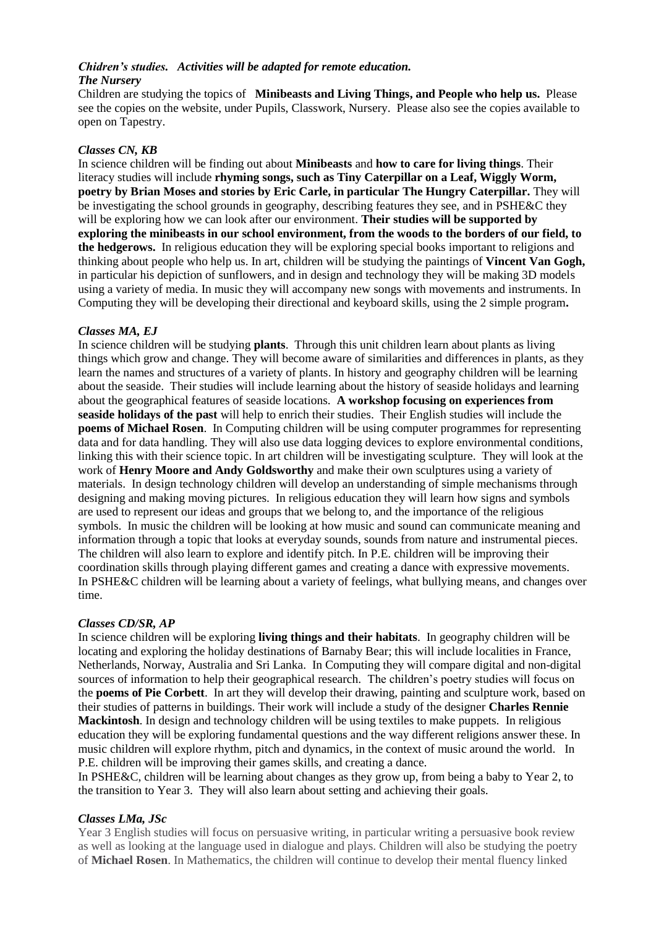#### *Chidren's studies. Activities will be adapted for remote education. The Nursery*

Children are studying the topics of **Minibeasts and Living Things, and People who help us.** Please see the copies on the website, under Pupils, Classwork, Nursery. Please also see the copies available to open on Tapestry.

# *Classes CN, KB*

In science children will be finding out about **Minibeasts** and **how to care for living things**. Their literacy studies will include **rhyming songs, such as Tiny Caterpillar on a Leaf, Wiggly Worm, poetry by Brian Moses and stories by Eric Carle, in particular The Hungry Caterpillar.** They will be investigating the school grounds in geography, describing features they see, and in PSHE&C they will be exploring how we can look after our environment. **Their studies will be supported by exploring the minibeasts in our school environment, from the woods to the borders of our field, to the hedgerows.** In religious education they will be exploring special books important to religions and thinking about people who help us. In art, children will be studying the paintings of **Vincent Van Gogh,** in particular his depiction of sunflowers, and in design and technology they will be making 3D models using a variety of media. In music they will accompany new songs with movements and instruments. In Computing they will be developing their directional and keyboard skills, using the 2 simple program**.**

## *Classes MA, EJ*

In science children will be studying **plants**. Through this unit children learn about plants as living things which grow and change. They will become aware of similarities and differences in plants, as they learn the names and structures of a variety of plants. In history and geography children will be learning about the seaside. Their studies will include learning about the history of seaside holidays and learning about the geographical features of seaside locations. **A workshop focusing on experiences from seaside holidays of the past** will help to enrich their studies. Their English studies will include the **poems of Michael Rosen**. In Computing children will be using computer programmes for representing data and for data handling. They will also use data logging devices to explore environmental conditions, linking this with their science topic. In art children will be investigating sculpture. They will look at the work of **Henry Moore and Andy Goldsworthy** and make their own sculptures using a variety of materials. In design technology children will develop an understanding of simple mechanisms through designing and making moving pictures. In religious education they will learn how signs and symbols are used to represent our ideas and groups that we belong to, and the importance of the religious symbols. In music the children will be looking at how music and sound can communicate meaning and information through a topic that looks at everyday sounds, sounds from nature and instrumental pieces. The children will also learn to explore and identify pitch. In P.E. children will be improving their coordination skills through playing different games and creating a dance with expressive movements. In PSHE&C children will be learning about a variety of feelings, what bullying means, and changes over time.

#### *Classes CD/SR, AP*

In science children will be exploring **living things and their habitats**. In geography children will be locating and exploring the holiday destinations of Barnaby Bear; this will include localities in France, Netherlands, Norway, Australia and Sri Lanka. In Computing they will compare digital and non-digital sources of information to help their geographical research. The children's poetry studies will focus on the **poems of Pie Corbett**. In art they will develop their drawing, painting and sculpture work, based on their studies of patterns in buildings. Their work will include a study of the designer **Charles Rennie Mackintosh**. In design and technology children will be using textiles to make puppets. In religious education they will be exploring fundamental questions and the way different religions answer these. In music children will explore rhythm, pitch and dynamics, in the context of music around the world. In P.E. children will be improving their games skills, and creating a dance.

In PSHE&C, children will be learning about changes as they grow up, from being a baby to Year 2, to the transition to Year 3. They will also learn about setting and achieving their goals.

#### *Classes LMa, JSc*

Year 3 English studies will focus on persuasive writing, in particular writing a persuasive book review as well as looking at the language used in dialogue and plays. Children will also be studying the poetry of **Michael Rosen**. In Mathematics, the children will continue to develop their mental fluency linked